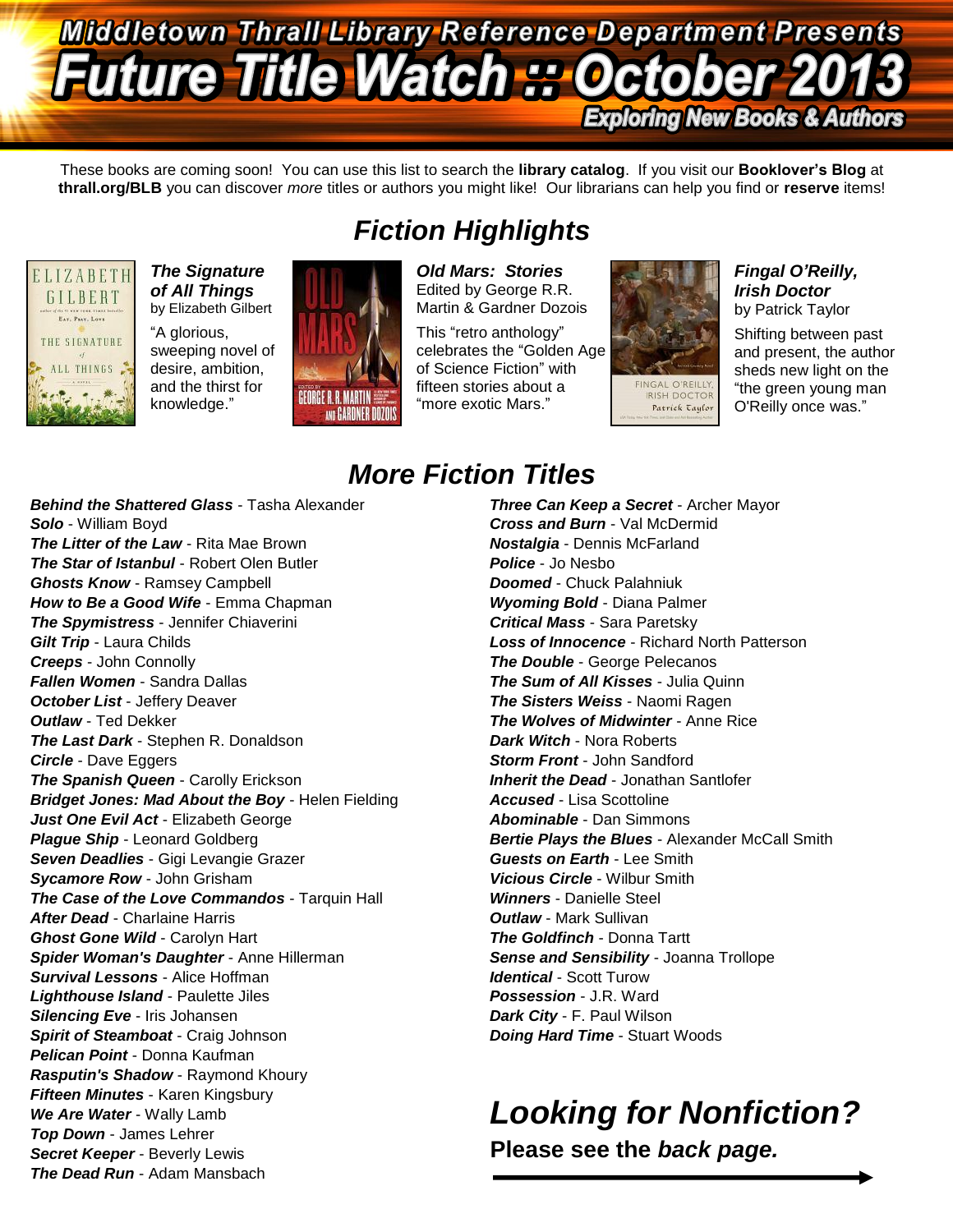## Middletown Thrall Library Reference Department Presents **Future Title Watch P. Octob Exploring New Books & Authors**

These books are coming soon! You can use this list to search the **library catalog**. If you visit our **Booklover's Blog** at **thrall.org/BLB** you can discover *more* titles or authors you might like! Our librarians can help you find or **reserve** items!



*The Signature of All Things* by Elizabeth Gilbert "A glorious,

sweeping novel of desire, ambition, and the thirst for knowledge."



*Fiction Highlights Old Mars: Stories*

Edited by George R.R. Martin & Gardner Dozois This "retro anthology" celebrates the "Golden Age

of Science Fiction" with fifteen stories about a "more exotic Mars."



### *Fingal O'Reilly, Irish Doctor*

by Patrick Taylor Shifting between past and present, the author sheds new light on the "the green young man O'Reilly once was."

*Behind the Shattered Glass* - Tasha Alexander *Solo* - William Boyd *The Litter of the Law* - Rita Mae Brown *The Star of Istanbul* - Robert Olen Butler *Ghosts Know* - Ramsey Campbell *How to Be a Good Wife* - Emma Chapman *The Spymistress* - Jennifer Chiaverini *Gilt Trip* - Laura Childs *Creeps* - John Connolly *Fallen Women* - Sandra Dallas *October List* - Jeffery Deaver *Outlaw* - Ted Dekker *The Last Dark* - Stephen R. Donaldson *Circle* - Dave Eggers *The Spanish Queen* - Carolly Erickson *Bridget Jones: Mad About the Boy* - Helen Fielding *Just One Evil Act* - Elizabeth George *Plague Ship* - Leonard Goldberg *Seven Deadlies* - Gigi Levangie Grazer *Sycamore Row* - John Grisham *The Case of the Love Commandos* - Tarquin Hall *After Dead* - Charlaine Harris *Ghost Gone Wild* - Carolyn Hart *Spider Woman's Daughter* - Anne Hillerman *Survival Lessons* - Alice Hoffman *Lighthouse Island* - Paulette Jiles *Silencing Eve* - Iris Johansen *Spirit of Steamboat* - Craig Johnson *Pelican Point* - Donna Kaufman *Rasputin's Shadow* - Raymond Khoury *Fifteen Minutes* - Karen Kingsbury *We Are Water* - Wally Lamb *Top Down* - James Lehrer *Secret Keeper* - Beverly Lewis *The Dead Run* - Adam Mansbach

# *More Fiction Titles*

*Three Can Keep a Secret* - Archer Mayor *Cross and Burn* - Val McDermid *Nostalgia* - Dennis McFarland *Police* - Jo Nesbo *Doomed* - Chuck Palahniuk *Wyoming Bold* - Diana Palmer *Critical Mass* - Sara Paretsky *Loss of Innocence* - Richard North Patterson *The Double* - George Pelecanos *The Sum of All Kisses* - Julia Quinn *The Sisters Weiss* - Naomi Ragen *The Wolves of Midwinter* - Anne Rice *Dark Witch* - Nora Roberts *Storm Front* - John Sandford *Inherit the Dead* - Jonathan Santlofer *Accused* - Lisa Scottoline *Abominable* - Dan Simmons **Bertie Plays the Blues** - Alexander McCall Smith *Guests on Earth* - Lee Smith *Vicious Circle* - Wilbur Smith *Winners* - Danielle Steel *Outlaw* - Mark Sullivan *The Goldfinch* - Donna Tartt *Sense and Sensibility* - Joanna Trollope *Identical* - Scott Turow *Possession* - J.R. Ward *Dark City* - F. Paul Wilson *Doing Hard Time* - Stuart Woods

# *Looking for Nonfiction?*

**Please see the** *back page.*